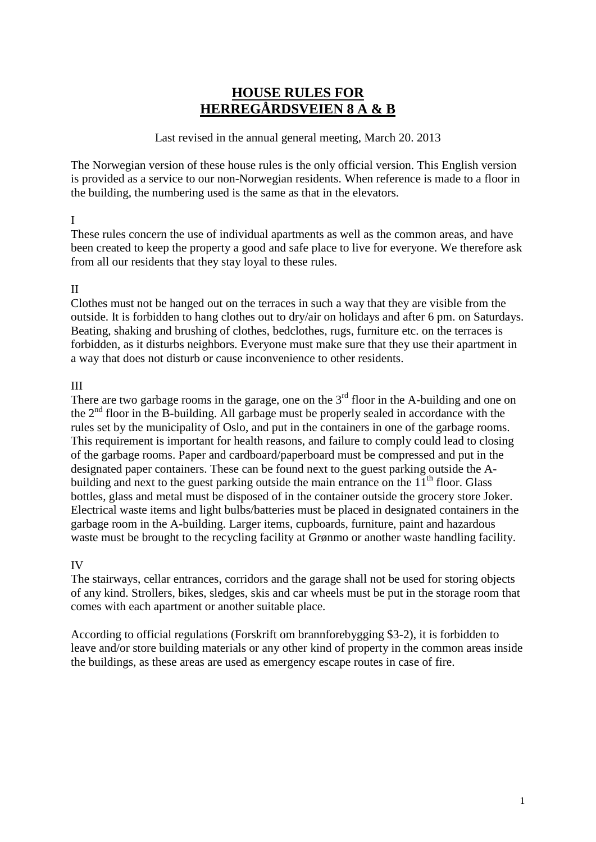# **HOUSE RULES FOR HERREGÅRDSVEIEN 8 A & B**

#### Last revised in the annual general meeting, March 20. 2013

The Norwegian version of these house rules is the only official version. This English version is provided as a service to our non-Norwegian residents. When reference is made to a floor in the building, the numbering used is the same as that in the elevators.

## I

These rules concern the use of individual apartments as well as the common areas, and have been created to keep the property a good and safe place to live for everyone. We therefore ask from all our residents that they stay loyal to these rules.

#### II

Clothes must not be hanged out on the terraces in such a way that they are visible from the outside. It is forbidden to hang clothes out to dry/air on holidays and after 6 pm. on Saturdays. Beating, shaking and brushing of clothes, bedclothes, rugs, furniture etc. on the terraces is forbidden, as it disturbs neighbors. Everyone must make sure that they use their apartment in a way that does not disturb or cause inconvenience to other residents.

## III

There are two garbage rooms in the garage, one on the  $3<sup>rd</sup>$  floor in the A-building and one on the  $2<sup>nd</sup>$  floor in the B-building. All garbage must be properly sealed in accordance with the rules set by the municipality of Oslo, and put in the containers in one of the garbage rooms. This requirement is important for health reasons, and failure to comply could lead to closing of the garbage rooms. Paper and cardboard/paperboard must be compressed and put in the designated paper containers. These can be found next to the guest parking outside the Abuilding and next to the guest parking outside the main entrance on the  $11<sup>th</sup>$  floor. Glass bottles, glass and metal must be disposed of in the container outside the grocery store Joker. Electrical waste items and light bulbs/batteries must be placed in designated containers in the garbage room in the A-building. Larger items, cupboards, furniture, paint and hazardous waste must be brought to the recycling facility at Grønmo or another waste handling facility.

## IV

The stairways, cellar entrances, corridors and the garage shall not be used for storing objects of any kind. Strollers, bikes, sledges, skis and car wheels must be put in the storage room that comes with each apartment or another suitable place.

According to official regulations (Forskrift om brannforebygging \$3-2), it is forbidden to leave and/or store building materials or any other kind of property in the common areas inside the buildings, as these areas are used as emergency escape routes in case of fire.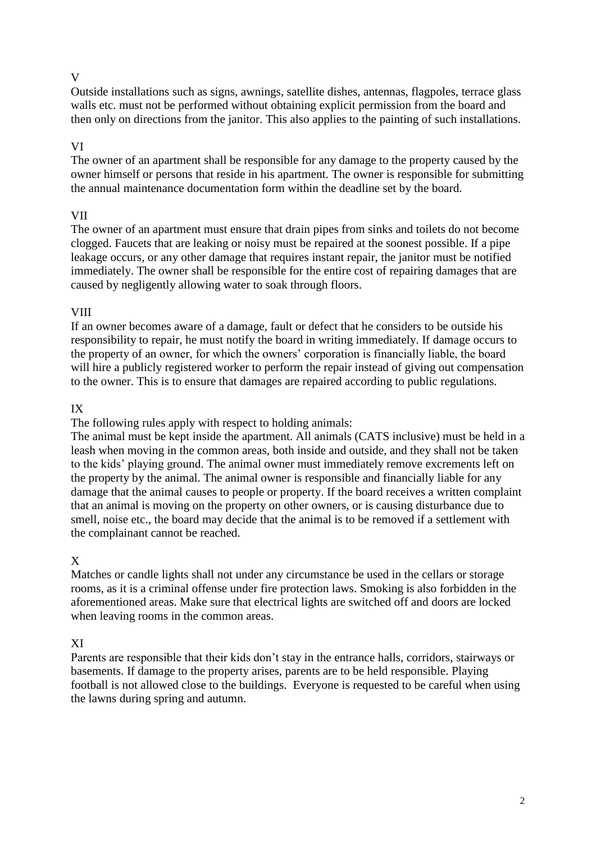## V

Outside installations such as signs, awnings, satellite dishes, antennas, flagpoles, terrace glass walls etc. must not be performed without obtaining explicit permission from the board and then only on directions from the janitor. This also applies to the painting of such installations.

## VI

The owner of an apartment shall be responsible for any damage to the property caused by the owner himself or persons that reside in his apartment. The owner is responsible for submitting the annual maintenance documentation form within the deadline set by the board.

#### VII

The owner of an apartment must ensure that drain pipes from sinks and toilets do not become clogged. Faucets that are leaking or noisy must be repaired at the soonest possible. If a pipe leakage occurs, or any other damage that requires instant repair, the janitor must be notified immediately. The owner shall be responsible for the entire cost of repairing damages that are caused by negligently allowing water to soak through floors.

#### VIII

If an owner becomes aware of a damage, fault or defect that he considers to be outside his responsibility to repair, he must notify the board in writing immediately. If damage occurs to the property of an owner, for which the owners' corporation is financially liable, the board will hire a publicly registered worker to perform the repair instead of giving out compensation to the owner. This is to ensure that damages are repaired according to public regulations.

## IX

The following rules apply with respect to holding animals:

The animal must be kept inside the apartment. All animals (CATS inclusive) must be held in a leash when moving in the common areas, both inside and outside, and they shall not be taken to the kids' playing ground. The animal owner must immediately remove excrements left on the property by the animal. The animal owner is responsible and financially liable for any damage that the animal causes to people or property. If the board receives a written complaint that an animal is moving on the property on other owners, or is causing disturbance due to smell, noise etc., the board may decide that the animal is to be removed if a settlement with the complainant cannot be reached.

## X

Matches or candle lights shall not under any circumstance be used in the cellars or storage rooms, as it is a criminal offense under fire protection laws. Smoking is also forbidden in the aforementioned areas. Make sure that electrical lights are switched off and doors are locked when leaving rooms in the common areas.

## XI

Parents are responsible that their kids don't stay in the entrance halls, corridors, stairways or basements. If damage to the property arises, parents are to be held responsible. Playing football is not allowed close to the buildings. Everyone is requested to be careful when using the lawns during spring and autumn.